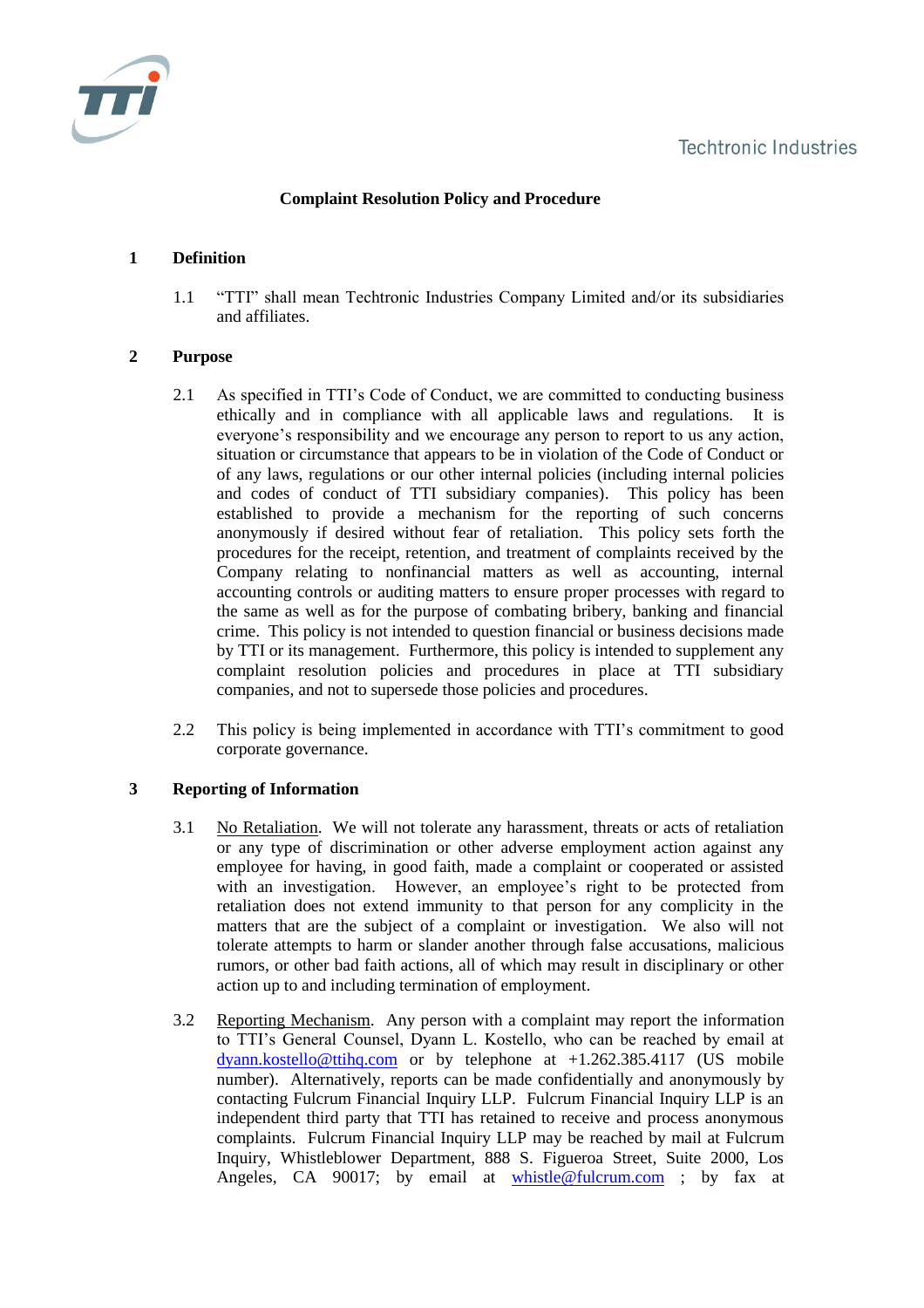

# **Complaint Resolution Policy and Procedure**

## **1 Definition**

1.1 "TTI" shall mean Techtronic Industries Company Limited and/or its subsidiaries and affiliates.

### **2 Purpose**

- 2.1 As specified in TTI's Code of Conduct, we are committed to conducting business ethically and in compliance with all applicable laws and regulations. It is everyone's responsibility and we encourage any person to report to us any action, situation or circumstance that appears to be in violation of the Code of Conduct or of any laws, regulations or our other internal policies (including internal policies and codes of conduct of TTI subsidiary companies). This policy has been established to provide a mechanism for the reporting of such concerns anonymously if desired without fear of retaliation. This policy sets forth the procedures for the receipt, retention, and treatment of complaints received by the Company relating to nonfinancial matters as well as accounting, internal accounting controls or auditing matters to ensure proper processes with regard to the same as well as for the purpose of combating bribery, banking and financial crime. This policy is not intended to question financial or business decisions made by TTI or its management. Furthermore, this policy is intended to supplement any complaint resolution policies and procedures in place at TTI subsidiary companies, and not to supersede those policies and procedures.
- 2.2 This policy is being implemented in accordance with TTI's commitment to good corporate governance.

## **3 Reporting of Information**

- 3.1 No Retaliation. We will not tolerate any harassment, threats or acts of retaliation or any type of discrimination or other adverse employment action against any employee for having, in good faith, made a complaint or cooperated or assisted with an investigation. However, an employee's right to be protected from retaliation does not extend immunity to that person for any complicity in the matters that are the subject of a complaint or investigation. We also will not tolerate attempts to harm or slander another through false accusations, malicious rumors, or other bad faith actions, all of which may result in disciplinary or other action up to and including termination of employment.
- 3.2 Reporting Mechanism. Any person with a complaint may report the information to TTI's General Counsel, Dyann L. Kostello, who can be reached by email at [dyann.kostello@ttihq.com](mailto:dyann.kostello@ttihq.com) or by telephone at +1.262.385.4117 (US mobile number). Alternatively, reports can be made confidentially and anonymously by contacting Fulcrum Financial Inquiry LLP. Fulcrum Financial Inquiry LLP is an independent third party that TTI has retained to receive and process anonymous complaints. Fulcrum Financial Inquiry LLP may be reached by mail at Fulcrum Inquiry, Whistleblower Department, 888 S. Figueroa Street, Suite 2000, Los Angeles, CA 90017; by email at **[whistle@fulcrum.com](mailto:whistle@fulcrum.com)** ; by fax at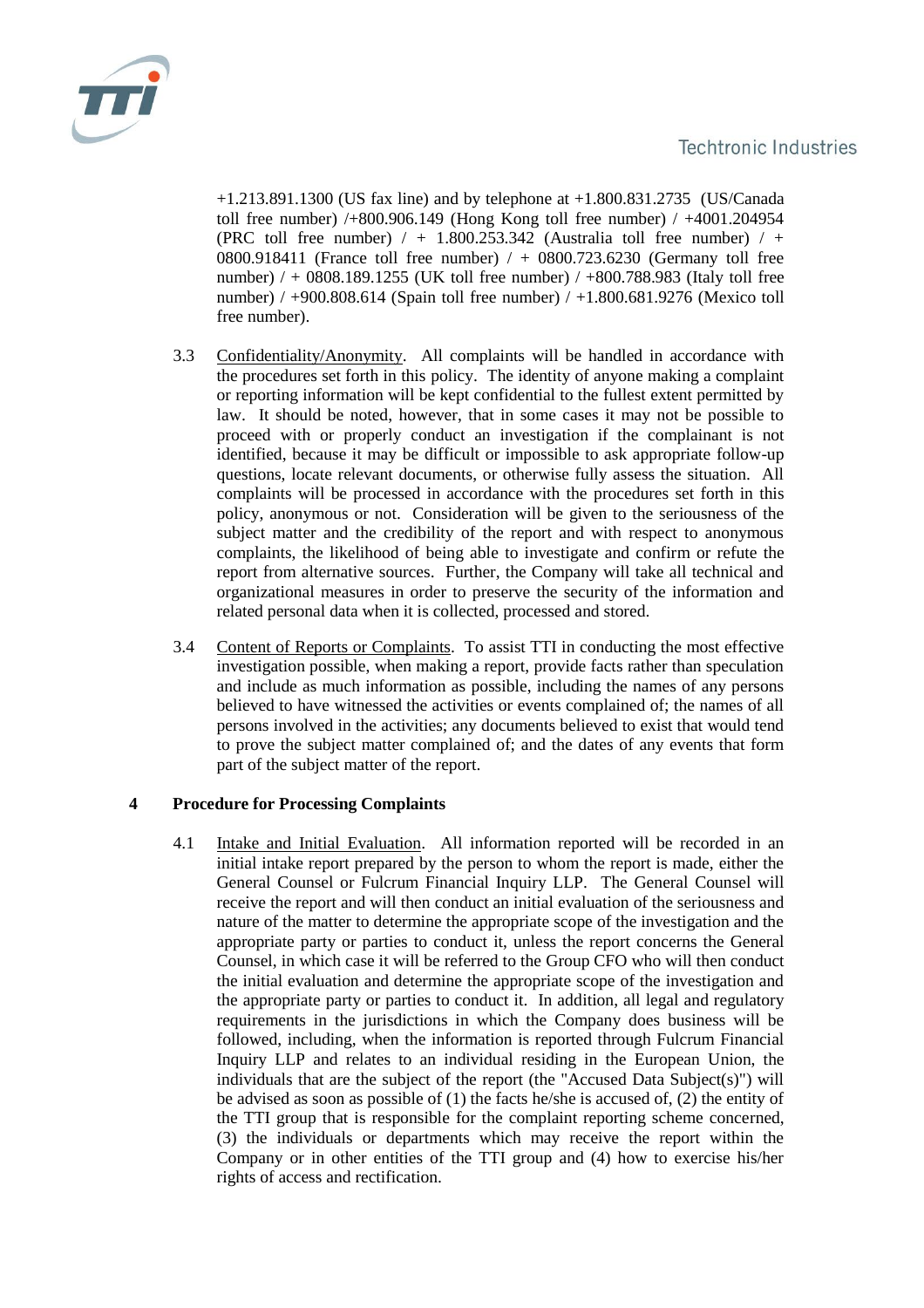

+1.213.891.1300 (US fax line) and by telephone at +1.800.831.2735 (US/Canada toll free number) /+800.906.149 (Hong Kong toll free number) / +4001.204954 (PRC toll free number)  $/ + 1.800.253.342$  (Australia toll free number)  $/ +$ 0800.918411 (France toll free number) / + 0800.723.6230 (Germany toll free number) / + 0808.189.1255 (UK toll free number) / +800.788.983 (Italy toll free number) / +900.808.614 (Spain toll free number) / +1.800.681.9276 (Mexico toll free number).

- 3.3 Confidentiality/Anonymity. All complaints will be handled in accordance with the procedures set forth in this policy. The identity of anyone making a complaint or reporting information will be kept confidential to the fullest extent permitted by law. It should be noted, however, that in some cases it may not be possible to proceed with or properly conduct an investigation if the complainant is not identified, because it may be difficult or impossible to ask appropriate follow-up questions, locate relevant documents, or otherwise fully assess the situation. All complaints will be processed in accordance with the procedures set forth in this policy, anonymous or not. Consideration will be given to the seriousness of the subject matter and the credibility of the report and with respect to anonymous complaints, the likelihood of being able to investigate and confirm or refute the report from alternative sources. Further, the Company will take all technical and organizational measures in order to preserve the security of the information and related personal data when it is collected, processed and stored.
- 3.4 Content of Reports or Complaints. To assist TTI in conducting the most effective investigation possible, when making a report, provide facts rather than speculation and include as much information as possible, including the names of any persons believed to have witnessed the activities or events complained of; the names of all persons involved in the activities; any documents believed to exist that would tend to prove the subject matter complained of; and the dates of any events that form part of the subject matter of the report.

#### **4 Procedure for Processing Complaints**

4.1 Intake and Initial Evaluation. All information reported will be recorded in an initial intake report prepared by the person to whom the report is made, either the General Counsel or Fulcrum Financial Inquiry LLP. The General Counsel will receive the report and will then conduct an initial evaluation of the seriousness and nature of the matter to determine the appropriate scope of the investigation and the appropriate party or parties to conduct it, unless the report concerns the General Counsel, in which case it will be referred to the Group CFO who will then conduct the initial evaluation and determine the appropriate scope of the investigation and the appropriate party or parties to conduct it. In addition, all legal and regulatory requirements in the jurisdictions in which the Company does business will be followed, including, when the information is reported through Fulcrum Financial Inquiry LLP and relates to an individual residing in the European Union, the individuals that are the subject of the report (the "Accused Data Subject(s)") will be advised as soon as possible of (1) the facts he/she is accused of, (2) the entity of the TTI group that is responsible for the complaint reporting scheme concerned, (3) the individuals or departments which may receive the report within the Company or in other entities of the TTI group and (4) how to exercise his/her rights of access and rectification.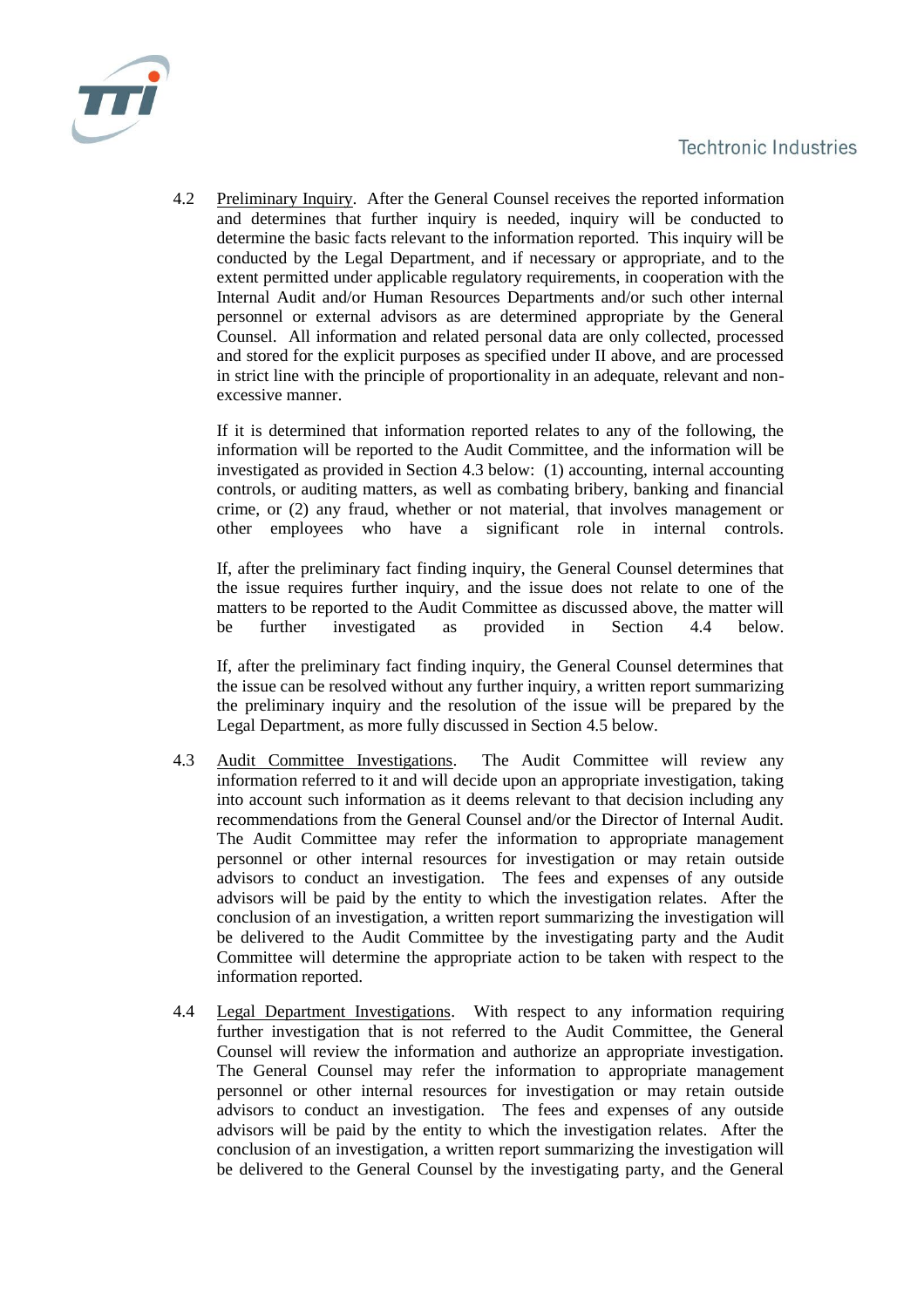

4.2 Preliminary Inquiry. After the General Counsel receives the reported information and determines that further inquiry is needed, inquiry will be conducted to determine the basic facts relevant to the information reported. This inquiry will be conducted by the Legal Department, and if necessary or appropriate, and to the extent permitted under applicable regulatory requirements, in cooperation with the Internal Audit and/or Human Resources Departments and/or such other internal personnel or external advisors as are determined appropriate by the General Counsel. All information and related personal data are only collected, processed and stored for the explicit purposes as specified under II above, and are processed in strict line with the principle of proportionality in an adequate, relevant and nonexcessive manner.

If it is determined that information reported relates to any of the following, the information will be reported to the Audit Committee, and the information will be investigated as provided in Section 4.3 below: (1) accounting, internal accounting controls, or auditing matters, as well as combating bribery, banking and financial crime, or (2) any fraud, whether or not material, that involves management or other employees who have a significant role in internal controls.

If, after the preliminary fact finding inquiry, the General Counsel determines that the issue requires further inquiry, and the issue does not relate to one of the matters to be reported to the Audit Committee as discussed above, the matter will be further investigated as provided in Section 4.4 below.

If, after the preliminary fact finding inquiry, the General Counsel determines that the issue can be resolved without any further inquiry, a written report summarizing the preliminary inquiry and the resolution of the issue will be prepared by the Legal Department, as more fully discussed in Section 4.5 below.

- 4.3 Audit Committee Investigations. The Audit Committee will review any information referred to it and will decide upon an appropriate investigation, taking into account such information as it deems relevant to that decision including any recommendations from the General Counsel and/or the Director of Internal Audit. The Audit Committee may refer the information to appropriate management personnel or other internal resources for investigation or may retain outside advisors to conduct an investigation. The fees and expenses of any outside advisors will be paid by the entity to which the investigation relates. After the conclusion of an investigation, a written report summarizing the investigation will be delivered to the Audit Committee by the investigating party and the Audit Committee will determine the appropriate action to be taken with respect to the information reported.
- 4.4 Legal Department Investigations. With respect to any information requiring further investigation that is not referred to the Audit Committee, the General Counsel will review the information and authorize an appropriate investigation. The General Counsel may refer the information to appropriate management personnel or other internal resources for investigation or may retain outside advisors to conduct an investigation. The fees and expenses of any outside advisors will be paid by the entity to which the investigation relates. After the conclusion of an investigation, a written report summarizing the investigation will be delivered to the General Counsel by the investigating party, and the General